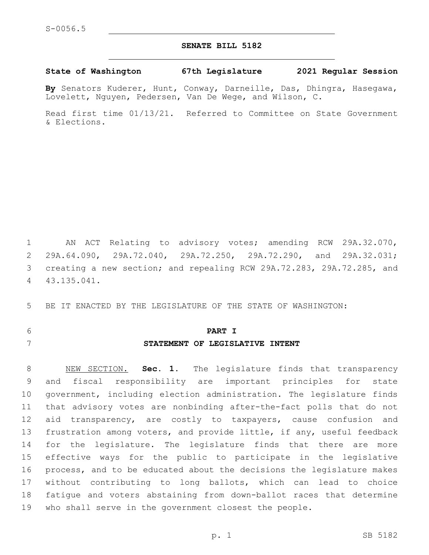### **SENATE BILL 5182**

#### **State of Washington 67th Legislature 2021 Regular Session**

**By** Senators Kuderer, Hunt, Conway, Darneille, Das, Dhingra, Hasegawa, Lovelett, Nguyen, Pedersen, Van De Wege, and Wilson, C.

Read first time 01/13/21. Referred to Committee on State Government & Elections.

 AN ACT Relating to advisory votes; amending RCW 29A.32.070, 29A.64.090, 29A.72.040, 29A.72.250, 29A.72.290, and 29A.32.031; creating a new section; and repealing RCW 29A.72.283, 29A.72.285, and 43.135.041.4

BE IT ENACTED BY THE LEGISLATURE OF THE STATE OF WASHINGTON:

# **PART I STATEMENT OF LEGISLATIVE INTENT**

 NEW SECTION. **Sec. 1.** The legislature finds that transparency and fiscal responsibility are important principles for state government, including election administration. The legislature finds that advisory votes are nonbinding after-the-fact polls that do not 12 aid transparency, are costly to taxpayers, cause confusion and frustration among voters, and provide little, if any, useful feedback for the legislature. The legislature finds that there are more effective ways for the public to participate in the legislative process, and to be educated about the decisions the legislature makes without contributing to long ballots, which can lead to choice fatigue and voters abstaining from down-ballot races that determine who shall serve in the government closest the people.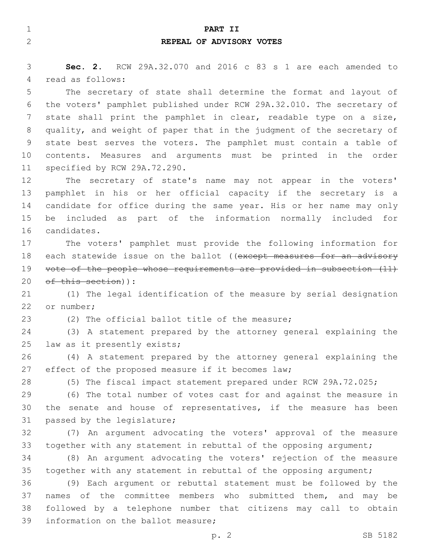| $\mathbf 1$    | PART II                                                               |
|----------------|-----------------------------------------------------------------------|
| $\overline{2}$ | REPEAL OF ADVISORY VOTES                                              |
|                |                                                                       |
| 3              | Sec. 2. RCW 29A.32.070 and 2016 c 83 s 1 are each amended to          |
| 4              | read as follows:                                                      |
| 5              | The secretary of state shall determine the format and layout of       |
| 6              | the voters' pamphlet published under RCW 29A.32.010. The secretary of |
| 7              | state shall print the pamphlet in clear, readable type on a size,     |
| 8              | quality, and weight of paper that in the judgment of the secretary of |
| $\mathcal{G}$  | state best serves the voters. The pamphlet must contain a table of    |
| 10             | contents. Measures and arguments must be printed in the order         |
| 11             | specified by RCW 29A.72.290.                                          |
| 12             | The secretary of state's name may not appear in the voters'           |
| 13             | pamphlet in his or her official capacity if the secretary is a        |
| 14             | candidate for office during the same year. His or her name may only   |
| 15             | be included as part of the information normally included for          |
| 16             | candidates.                                                           |
| 17             | The voters' pamphlet must provide the following information for       |
| 18             | each statewide issue on the ballot ((except measures for an advisory  |
| 19             | vote of the people whose requirements are provided in subsection (11) |
| 20             | of this section)):                                                    |
| 21             | (1) The legal identification of the measure by serial designation     |
| 22             | or number;                                                            |
| 23             | (2) The official ballot title of the measure;                         |
| 24             | (3) A statement prepared by the attorney general explaining the       |
| 25             | law as it presently exists;                                           |
| 26             | (4) A statement prepared by the attorney general explaining the       |
| 27             | effect of the proposed measure if it becomes law;                     |
| 28             | (5) The fiscal impact statement prepared under RCW 29A.72.025;        |
| 29             | (6) The total number of votes cast for and against the measure in     |
| 30             | the senate and house of representatives, if the measure has been      |
| 31             | passed by the legislature;                                            |
| 32             | (7) An argument advocating the voters' approval of the measure        |
| 33             | together with any statement in rebuttal of the opposing argument;     |
| 34             | (8) An argument advocating the voters' rejection of the measure       |
| 35             | together with any statement in rebuttal of the opposing argument;     |
| 36             | (9) Each argument or rebuttal statement must be followed by the       |
| 37             | names of the committee members who submitted them, and may be         |
| 38             | followed by a telephone number that citizens may call to obtain       |
| 39             | information on the ballot measure;                                    |
|                | SB 5182<br>p. 2                                                       |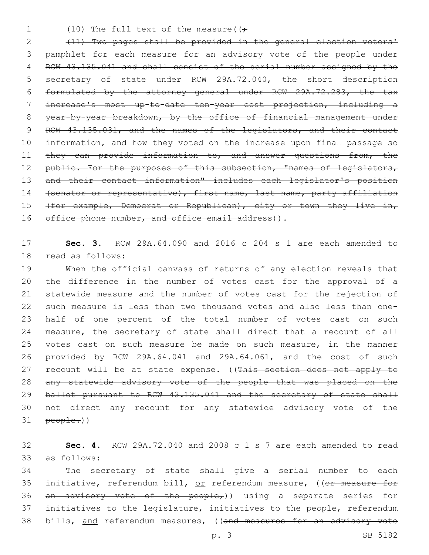1 (10) The full text of the measure( $(\div$ 

2 (11) Two pages shall be provided in the general election voters' 3 pamphlet for each measure for an advisory vote of the people under 4 RCW 43.135.041 and shall consist of the serial number assigned by the 5 secretary of state under RCW 29A.72.040, the short description 6 formulated by the attorney general under RCW 29A.72.283, the tax 7 increase's most up-to-date ten-year cost projection, including a 8 year-by-year breakdown, by the office of financial management under 9 RCW 43.135.031, and the names of the legislators, and their contact 10 information, and how they voted on the increase upon final passage so 11 they can provide information to, and answer questions from, the 12 public. For the purposes of this subsection, "names of legislators, 13 and their contact information" includes each legislator's position 14 (senator or representative), first name, last name, party affiliation 15 (for example, Democrat or Republican), city or town they live in, 16 office phone number, and office email address)).

17 **Sec. 3.** RCW 29A.64.090 and 2016 c 204 s 1 are each amended to 18 read as follows:

 When the official canvass of returns of any election reveals that the difference in the number of votes cast for the approval of a statewide measure and the number of votes cast for the rejection of such measure is less than two thousand votes and also less than one- half of one percent of the total number of votes cast on such measure, the secretary of state shall direct that a recount of all votes cast on such measure be made on such measure, in the manner provided by RCW 29A.64.041 and 29A.64.061, and the cost of such 27 recount will be at state expense. ((This section does not apply to any statewide advisory vote of the people that was placed on the 29 ballot pursuant to RCW 43.135.041 and the secretary of state shall not direct any recount for any statewide advisory vote of the people.))

32 **Sec. 4.** RCW 29A.72.040 and 2008 c 1 s 7 are each amended to read as follows:33

34 The secretary of state shall give a serial number to each 35 initiative, referendum bill, or referendum measure, ((or measure for 36 an advisory vote of the people,)) using a separate series for 37 initiatives to the legislature, initiatives to the people, referendum 38 bills, and referendum measures, ((and measures for an advisory vote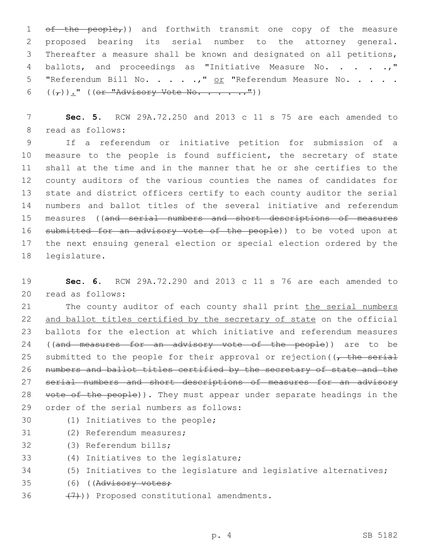$ef$  the people<sub>r</sub>)) and forthwith transmit one copy of the measure proposed bearing its serial number to the attorney general. Thereafter a measure shall be known and designated on all petitions, 4 ballots, and proceedings as "Initiative Measure No. . . . .," 5 "Referendum Bill No. . . . .," or "Referendum Measure No. . . . .  $((\tau))$ ." ((or "Advisory Vote No. . . . .."))

7 **Sec. 5.** RCW 29A.72.250 and 2013 c 11 s 75 are each amended to 8 read as follows:

 If a referendum or initiative petition for submission of a 10 measure to the people is found sufficient, the secretary of state shall at the time and in the manner that he or she certifies to the county auditors of the various counties the names of candidates for state and district officers certify to each county auditor the serial numbers and ballot titles of the several initiative and referendum measures ((and serial numbers and short descriptions of measures 16 submitted for an advisory vote of the people)) to be voted upon at the next ensuing general election or special election ordered by the 18 legislature.

19 **Sec. 6.** RCW 29A.72.290 and 2013 c 11 s 76 are each amended to read as follows:20

21 The county auditor of each county shall print the serial numbers 22 and ballot titles certified by the secretary of state on the official 23 ballots for the election at which initiative and referendum measures 24 ((and measures for an advisory vote of the people)) are to be 25 submitted to the people for their approval or rejection ( $\sqrt{t}$  the serial 26 numbers and ballot titles certified by the secretary of state and the 27 serial numbers and short descriptions of measures for an advisory 28 vote of the people)). They must appear under separate headings in the 29 order of the serial numbers as follows:

- 
- 30 (1) Initiatives to the people;
- 31 (2) Referendum measures;
- 32 (3) Referendum bills;
- 33 (4) Initiatives to the legislature;
- 34 (5) Initiatives to the legislature and legislative alternatives;
- 35 (6) ((Advisory votes;
- 36  $(7)$ ) Proposed constitutional amendments.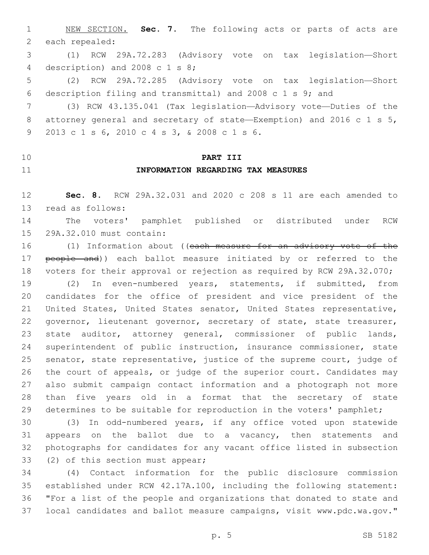NEW SECTION. **Sec. 7.** The following acts or parts of acts are each repealed:

 (1) RCW 29A.72.283 (Advisory vote on tax legislation—Short 4 description) and 2008 c 1 s 8;

 (2) RCW 29A.72.285 (Advisory vote on tax legislation—Short description filing and transmittal) and 2008 c 1 s 9; and

 (3) RCW 43.135.041 (Tax legislation—Advisory vote—Duties of the attorney general and secretary of state—Exemption) and 2016 c 1 s 5, 2013 c 1 s 6, 2010 c 4 s 3, & 2008 c 1 s 6.9

## **PART III**

### **INFORMATION REGARDING TAX MEASURES**

 **Sec. 8.** RCW 29A.32.031 and 2020 c 208 s 11 are each amended to 13 read as follows:

 The voters' pamphlet published or distributed under RCW 15 29A.32.010 must contain:

16 (1) Information about ((each measure for an advisory vote of the 17 people and)) each ballot measure initiated by or referred to the voters for their approval or rejection as required by RCW 29A.32.070;

 (2) In even-numbered years, statements, if submitted, from candidates for the office of president and vice president of the United States, United States senator, United States representative, 22 governor, lieutenant governor, secretary of state, state treasurer, state auditor, attorney general, commissioner of public lands, superintendent of public instruction, insurance commissioner, state senator, state representative, justice of the supreme court, judge of the court of appeals, or judge of the superior court. Candidates may also submit campaign contact information and a photograph not more than five years old in a format that the secretary of state determines to be suitable for reproduction in the voters' pamphlet;

 (3) In odd-numbered years, if any office voted upon statewide 31 appears on the ballot due to a vacancy, then statements and photographs for candidates for any vacant office listed in subsection 33 (2) of this section must appear;

 (4) Contact information for the public disclosure commission established under RCW 42.17A.100, including the following statement: "For a list of the people and organizations that donated to state and local candidates and ballot measure campaigns, visit www.pdc.wa.gov."